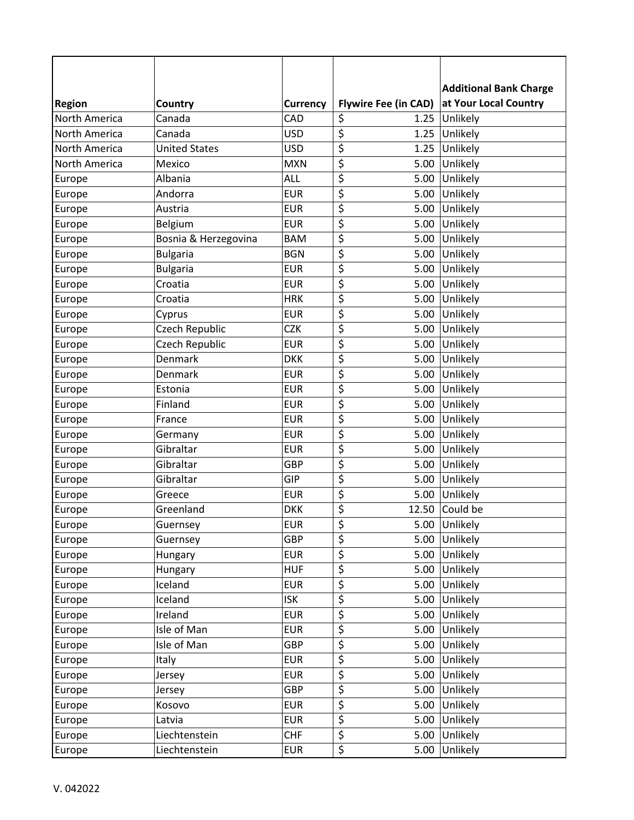|                      |                      |                 |                                         | <b>Additional Bank Charge</b> |
|----------------------|----------------------|-----------------|-----------------------------------------|-------------------------------|
| <b>Region</b>        | Country              | <b>Currency</b> | <b>Flywire Fee (in CAD)</b>             | at Your Local Country         |
| North America        | Canada               | CAD             | \$                                      | 1.25 Unlikely                 |
| North America        | Canada               | <b>USD</b>      | $\overline{\boldsymbol{\zeta}}$<br>1.25 | Unlikely                      |
| North America        | <b>United States</b> | <b>USD</b>      | \$<br>1.25                              | Unlikely                      |
| <b>North America</b> | Mexico               | <b>MXN</b>      | \$<br>5.00                              | Unlikely                      |
| Europe               | Albania              | <b>ALL</b>      | \$<br>5.00                              | Unlikely                      |
| Europe               | Andorra              | <b>EUR</b>      | \$<br>5.00                              | Unlikely                      |
| Europe               | Austria              | <b>EUR</b>      | \$<br>5.00                              | Unlikely                      |
| Europe               | Belgium              | <b>EUR</b>      | \$                                      | 5.00 Unlikely                 |
| Europe               | Bosnia & Herzegovina | <b>BAM</b>      | \$<br>5.00                              | Unlikely                      |
| Europe               | <b>Bulgaria</b>      | <b>BGN</b>      | \$<br>5.00                              | Unlikely                      |
| Europe               | <b>Bulgaria</b>      | <b>EUR</b>      | \$<br>5.00                              | Unlikely                      |
| Europe               | Croatia              | <b>EUR</b>      | \$<br>5.00                              | Unlikely                      |
| Europe               | Croatia              | <b>HRK</b>      | \$                                      | 5.00 Unlikely                 |
| Europe               | Cyprus               | <b>EUR</b>      | \$                                      | 5.00 Unlikely                 |
| Europe               | Czech Republic       | <b>CZK</b>      | \$<br>5.00                              | Unlikely                      |
| Europe               | Czech Republic       | <b>EUR</b>      | \$<br>5.00                              | Unlikely                      |
| Europe               | Denmark              | <b>DKK</b>      | \$<br>5.00                              | Unlikely                      |
| Europe               | Denmark              | <b>EUR</b>      | \$                                      | 5.00 Unlikely                 |
| Europe               | Estonia              | <b>EUR</b>      | \$<br>5.00                              | Unlikely                      |
| Europe               | Finland              | <b>EUR</b>      | \$                                      | 5.00 Unlikely                 |
| Europe               | France               | <b>EUR</b>      | \$<br>5.00                              | Unlikely                      |
| Europe               | Germany              | <b>EUR</b>      | \$<br>5.00                              | Unlikely                      |
| Europe               | Gibraltar            | <b>EUR</b>      | \$<br>5.00                              | Unlikely                      |
| Europe               | Gibraltar            | <b>GBP</b>      | \$<br>5.00                              | Unlikely                      |
| Europe               | Gibraltar            | GIP             | $\overline{\xi}$<br>5.00                | Unlikely                      |
| Europe               | Greece               | <b>EUR</b>      | \$<br>5.00                              | Unlikely                      |
| Europe               | Greenland            | <b>DKK</b>      | \$                                      | 12.50 Could be                |
| Europe               | Guernsey             | <b>EUR</b>      | \$<br>5.00                              | Unlikely                      |
| Europe               | Guernsey             | <b>GBP</b>      | \$<br>5.00                              | Unlikely                      |
| Europe               | Hungary              | <b>EUR</b>      | \$<br>5.00                              | Unlikely                      |
| Europe               | Hungary              | <b>HUF</b>      | \$<br>$5.00$                            | Unlikely                      |
| Europe               | Iceland              | <b>EUR</b>      | \$<br>5.00                              | Unlikely                      |
| Europe               | Iceland              | <b>ISK</b>      | $\overline{\boldsymbol{\zeta}}$<br>5.00 | Unlikely                      |
| Europe               | Ireland              | <b>EUR</b>      | \$<br>5.00                              | Unlikely                      |
| Europe               | Isle of Man          | <b>EUR</b>      | \$<br>5.00                              | Unlikely                      |
| Europe               | Isle of Man          | <b>GBP</b>      | \$<br>5.00                              | Unlikely                      |
| Europe               | Italy                | <b>EUR</b>      | \$<br>5.00                              | Unlikely                      |
| Europe               | Jersey               | <b>EUR</b>      | \$<br>5.00                              | Unlikely                      |
| Europe               | Jersey               | GBP             | \$<br>5.00                              | Unlikely                      |
| Europe               | Kosovo               | <b>EUR</b>      | \$<br>5.00                              | Unlikely                      |
| Europe               | Latvia               | <b>EUR</b>      | \$<br>5.00                              | Unlikely                      |
| Europe               | Liechtenstein        | <b>CHF</b>      | \$<br>5.00                              | Unlikely                      |
| Europe               | Liechtenstein        | <b>EUR</b>      | $\overline{\varsigma}$<br>5.00          | Unlikely                      |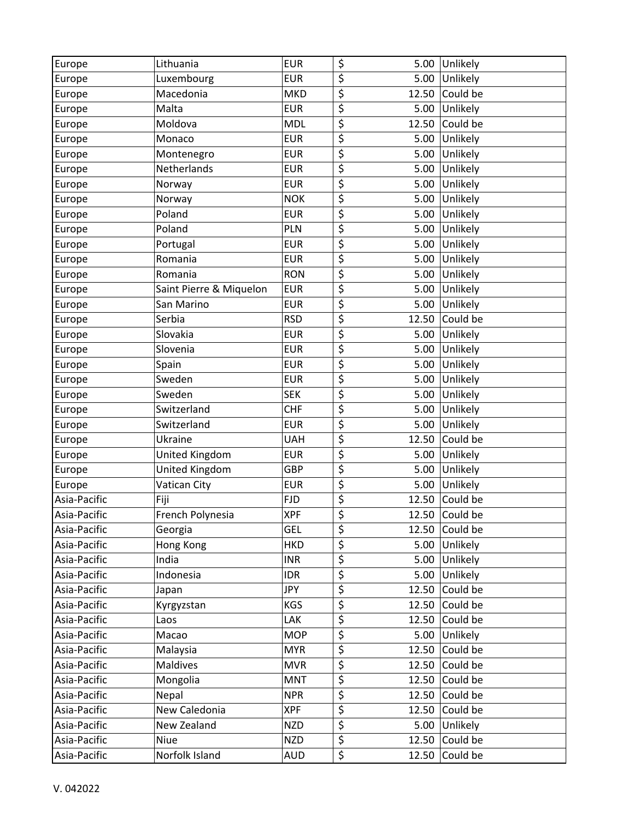| Europe       | Lithuania               | <b>EUR</b> | \$                              | 5.00  | Unlikely |
|--------------|-------------------------|------------|---------------------------------|-------|----------|
| Europe       | Luxembourg              | <b>EUR</b> | \$                              | 5.00  | Unlikely |
| Europe       | Macedonia               | <b>MKD</b> | \$                              | 12.50 | Could be |
| Europe       | Malta                   | <b>EUR</b> | $\overline{\boldsymbol{\zeta}}$ | 5.00  | Unlikely |
| Europe       | Moldova                 | <b>MDL</b> | \$                              | 12.50 | Could be |
| Europe       | Monaco                  | <b>EUR</b> | $\overline{\mathcal{L}}$        | 5.00  | Unlikely |
| Europe       | Montenegro              | <b>EUR</b> | \$                              | 5.00  | Unlikely |
| Europe       | Netherlands             | <b>EUR</b> | $\overline{\boldsymbol{\zeta}}$ | 5.00  | Unlikely |
| Europe       | Norway                  | <b>EUR</b> | $\overline{\xi}$                | 5.00  | Unlikely |
| Europe       | Norway                  | <b>NOK</b> | $\overline{\boldsymbol{\zeta}}$ | 5.00  | Unlikely |
| Europe       | Poland                  | <b>EUR</b> | \$                              | 5.00  | Unlikely |
| Europe       | Poland                  | PLN        | \$                              | 5.00  | Unlikely |
| Europe       | Portugal                | <b>EUR</b> | $\overline{\xi}$                | 5.00  | Unlikely |
| Europe       | Romania                 | <b>EUR</b> | $\overline{\boldsymbol{\zeta}}$ | 5.00  | Unlikely |
| Europe       | Romania                 | <b>RON</b> | $\overline{\boldsymbol{\zeta}}$ | 5.00  | Unlikely |
| Europe       | Saint Pierre & Miquelon | <b>EUR</b> | \$                              | 5.00  | Unlikely |
| Europe       | San Marino              | <b>EUR</b> | \$                              | 5.00  | Unlikely |
| Europe       | Serbia                  | <b>RSD</b> | $\overline{\boldsymbol{\zeta}}$ | 12.50 | Could be |
| Europe       | Slovakia                | <b>EUR</b> | \$                              | 5.00  | Unlikely |
| Europe       | Slovenia                | <b>EUR</b> | $\overline{\xi}$                | 5.00  | Unlikely |
| Europe       | Spain                   | <b>EUR</b> | $\overline{\boldsymbol{\zeta}}$ | 5.00  | Unlikely |
| Europe       | Sweden                  | <b>EUR</b> | \$                              | 5.00  | Unlikely |
| Europe       | Sweden                  | <b>SEK</b> | $\overline{\boldsymbol{\zeta}}$ | 5.00  | Unlikely |
| Europe       | Switzerland             | <b>CHF</b> | $\overline{\boldsymbol{\zeta}}$ | 5.00  | Unlikely |
| Europe       | Switzerland             | <b>EUR</b> | $\overline{\boldsymbol{\zeta}}$ | 5.00  | Unlikely |
| Europe       | Ukraine                 | <b>UAH</b> | \$                              | 12.50 | Could be |
| Europe       | United Kingdom          | <b>EUR</b> | $\overline{\xi}$                | 5.00  | Unlikely |
| Europe       | United Kingdom          | GBP        | \$                              | 5.00  | Unlikely |
| Europe       | Vatican City            | <b>EUR</b> | $\overline{\boldsymbol{\zeta}}$ | 5.00  | Unlikely |
| Asia-Pacific | Fiji                    | <b>FJD</b> | \$                              | 12.50 | Could be |
| Asia-Pacific | French Polynesia        | <b>XPF</b> | \$                              | 12.50 | Could be |
| Asia-Pacific | Georgia                 | GEL        | \$                              | 12.50 | Could be |
| Asia-Pacific | Hong Kong               | <b>HKD</b> | $\overline{\boldsymbol{\zeta}}$ | 5.00  | Unlikely |
| Asia-Pacific | India                   | <b>INR</b> | $\overline{\boldsymbol{\zeta}}$ | 5.00  | Unlikely |
| Asia-Pacific | Indonesia               | <b>IDR</b> | $\overline{\xi}$                | 5.00  | Unlikely |
| Asia-Pacific | Japan                   | <b>JPY</b> | \$                              | 12.50 | Could be |
| Asia-Pacific | Kyrgyzstan              | KGS        | $\overline{\boldsymbol{\zeta}}$ | 12.50 | Could be |
| Asia-Pacific | Laos                    | LAK        | $\overline{\xi}$                | 12.50 | Could be |
| Asia-Pacific | Macao                   | <b>MOP</b> | $\overline{\boldsymbol{\zeta}}$ | 5.00  | Unlikely |
| Asia-Pacific | Malaysia                | <b>MYR</b> | $\overline{\xi}$                | 12.50 | Could be |
| Asia-Pacific | Maldives                | <b>MVR</b> | $\overline{\boldsymbol{\zeta}}$ | 12.50 | Could be |
| Asia-Pacific | Mongolia                | <b>MNT</b> | \$                              | 12.50 | Could be |
| Asia-Pacific | Nepal                   | <b>NPR</b> | $\overline{\boldsymbol{\zeta}}$ | 12.50 | Could be |
| Asia-Pacific | New Caledonia           | <b>XPF</b> | $\overline{\boldsymbol{\zeta}}$ | 12.50 | Could be |
| Asia-Pacific | New Zealand             | <b>NZD</b> | $\overline{\xi}$                | 5.00  | Unlikely |
| Asia-Pacific | Niue                    | <b>NZD</b> | $\overline{\xi}$                | 12.50 | Could be |
| Asia-Pacific | Norfolk Island          | <b>AUD</b> | \$                              | 12.50 | Could be |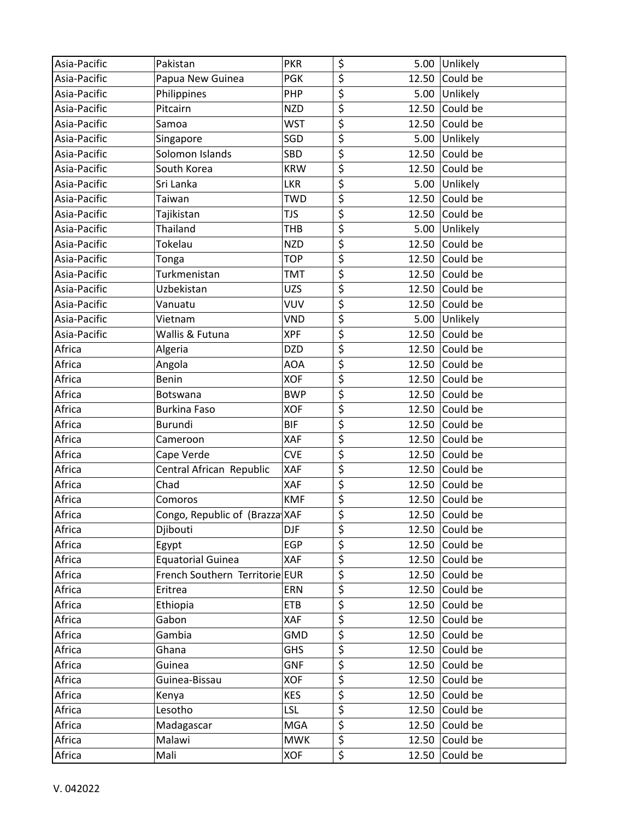| Asia-Pacific | Pakistan                       | <b>PKR</b> | \$                                  |       | 5.00 Unlikely          |
|--------------|--------------------------------|------------|-------------------------------------|-------|------------------------|
| Asia-Pacific | Papua New Guinea               | <b>PGK</b> | $\overline{\xi}$                    |       | 12.50 Could be         |
| Asia-Pacific | Philippines                    | <b>PHP</b> | $\overline{\boldsymbol{\zeta}}$     |       | 5.00 Unlikely          |
| Asia-Pacific | Pitcairn                       | <b>NZD</b> | $\overline{\xi}$                    | 12.50 | Could be               |
| Asia-Pacific | Samoa                          | <b>WST</b> | \$                                  |       | 12.50 Could be         |
| Asia-Pacific | Singapore                      | SGD        | $\overline{\xi}$                    | 5.00  | Unlikely               |
| Asia-Pacific | Solomon Islands                | SBD        | \$                                  |       | 12.50 Could be         |
| Asia-Pacific | South Korea                    | <b>KRW</b> | \$                                  | 12.50 | Could be               |
| Asia-Pacific | Sri Lanka                      | <b>LKR</b> | \$                                  |       | 5.00 Unlikely          |
| Asia-Pacific | Taiwan                         | <b>TWD</b> | \$                                  |       | 12.50 Could be         |
| Asia-Pacific | Tajikistan                     | <b>TJS</b> | $\overline{\xi}$                    | 12.50 | Could be               |
| Asia-Pacific | Thailand                       | <b>THB</b> | \$                                  |       | 5.00 Unlikely          |
| Asia-Pacific | Tokelau                        | <b>NZD</b> | $\overline{\boldsymbol{\varsigma}}$ | 12.50 | Could be               |
| Asia-Pacific | Tonga                          | <b>TOP</b> | $\overline{\xi}$                    |       | 12.50 Could be         |
| Asia-Pacific | Turkmenistan                   | <b>TMT</b> | $\overline{\xi}$                    | 12.50 | Could be               |
| Asia-Pacific | Uzbekistan                     | <b>UZS</b> | $\overline{\boldsymbol{\zeta}}$     |       | 12.50 Could be         |
| Asia-Pacific | Vanuatu                        | <b>VUV</b> | \$                                  |       | 12.50 $\vert$ Could be |
| Asia-Pacific | Vietnam                        | <b>VND</b> | \$                                  | 5.00  | Unlikely               |
| Asia-Pacific | Wallis & Futuna                | <b>XPF</b> | \$                                  |       | 12.50 Could be         |
| Africa       | Algeria                        | <b>DZD</b> | \$                                  | 12.50 | Could be               |
| Africa       | Angola                         | <b>AOA</b> | \$                                  |       | 12.50 Could be         |
| Africa       | <b>Benin</b>                   | <b>XOF</b> | $\overline{\boldsymbol{\zeta}}$     | 12.50 | Could be               |
| Africa       | Botswana                       | <b>BWP</b> | $\overline{\xi}$                    | 12.50 | Could be               |
| Africa       | <b>Burkina Faso</b>            | <b>XOF</b> | \$                                  |       | 12.50 Could be         |
| Africa       | Burundi                        | <b>BIF</b> | $\overline{\xi}$                    | 12.50 | Could be               |
| Africa       | Cameroon                       | XAF        | $\overline{\boldsymbol{\zeta}}$     |       | 12.50 Could be         |
| Africa       | Cape Verde                     | <b>CVE</b> | $\boldsymbol{\zeta}$                | 12.50 | Could be               |
| Africa       | Central African Republic       | XAF        | $\overline{\xi}$                    |       | 12.50 Could be         |
| Africa       | Chad                           | XAF        | $\overline{\boldsymbol{\zeta}}$     |       | 12.50 Could be         |
| Africa       | Comoros                        | <b>KMF</b> | $\overline{\xi}$                    | 12.50 | Could be               |
| Africa       | Congo, Republic of (Brazza XAF |            | $\overline{\boldsymbol{\zeta}}$     |       | 12.50 Could be         |
| Africa       | Djibouti                       | <b>DJF</b> | \$                                  | 12.50 | Could be               |
| Africa       | Egypt                          | <b>EGP</b> | \$                                  | 12.50 | Could be               |
| Africa       | <b>Equatorial Guinea</b>       | XAF        | \$                                  | 12.50 | Could be               |
| Africa       | French Southern Territorie EUR |            | $\overline{\boldsymbol{\zeta}}$     | 12.50 | Could be               |
| Africa       | Eritrea                        | ERN        | \$                                  | 12.50 | Could be               |
| Africa       | Ethiopia                       | <b>ETB</b> | $\overline{\xi}$                    | 12.50 | Could be               |
| Africa       | Gabon                          | XAF        | $\overline{\xi}$                    |       | 12.50 Could be         |
| Africa       | Gambia                         | <b>GMD</b> | $\overline{\boldsymbol{\zeta}}$     | 12.50 | Could be               |
| Africa       | Ghana                          | <b>GHS</b> | \$                                  | 12.50 | Could be               |
| Africa       | Guinea                         | <b>GNF</b> | \$                                  | 12.50 | Could be               |
| Africa       | Guinea-Bissau                  | <b>XOF</b> | \$                                  | 12.50 | Could be               |
| Africa       | Kenya                          | <b>KES</b> | $\overline{\boldsymbol{\zeta}}$     | 12.50 | Could be               |
| Africa       | Lesotho                        | <b>LSL</b> | $\overline{\boldsymbol{\zeta}}$     | 12.50 | Could be               |
| Africa       | Madagascar                     | <b>MGA</b> | \$                                  | 12.50 | Could be               |
| Africa       | Malawi                         | <b>MWK</b> | $\overline{\mathcal{L}}$            | 12.50 | Could be               |
| Africa       | Mali                           | <b>XOF</b> | $\overline{\xi}$                    | 12.50 | Could be               |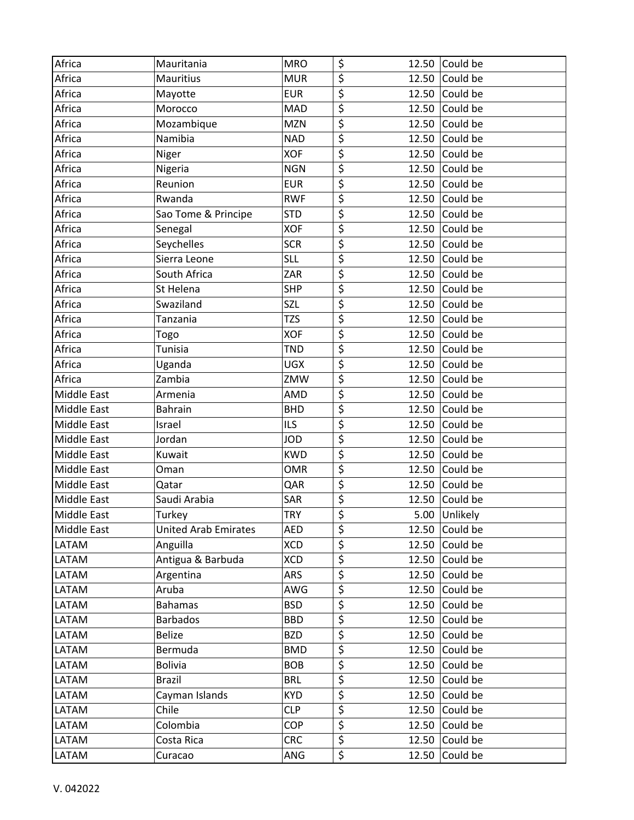| Africa             | Mauritania                  | <b>MRO</b> | \$                                  |       | 12.50 $\vert$ Could be |
|--------------------|-----------------------------|------------|-------------------------------------|-------|------------------------|
| Africa             | <b>Mauritius</b>            | <b>MUR</b> | $\overline{\boldsymbol{\zeta}}$     | 12.50 | Could be               |
| Africa             | Mayotte                     | <b>EUR</b> | $\overline{\boldsymbol{\zeta}}$     | 12.50 | Could be               |
| Africa             | Morocco                     | <b>MAD</b> | $\overline{\xi}$                    | 12.50 | Could be               |
| Africa             | Mozambique                  | <b>MZN</b> | $\overline{\boldsymbol{\zeta}}$     | 12.50 | Could be               |
| Africa             | Namibia                     | <b>NAD</b> | $\overline{\xi}$                    | 12.50 | Could be               |
| Africa             | Niger                       | <b>XOF</b> | $\overline{\xi}$                    | 12.50 | Could be               |
| Africa             | Nigeria                     | <b>NGN</b> | $\overline{\boldsymbol{\zeta}}$     | 12.50 | Could be               |
| Africa             | Reunion                     | <b>EUR</b> | $\overline{\xi}$                    | 12.50 | Could be               |
| Africa             | Rwanda                      | <b>RWF</b> | $\overline{\boldsymbol{\zeta}}$     | 12.50 | Could be               |
| Africa             | Sao Tome & Principe         | <b>STD</b> | \$                                  | 12.50 | Could be               |
| Africa             | Senegal                     | <b>XOF</b> | $\overline{\boldsymbol{\zeta}}$     | 12.50 | Could be               |
| Africa             | Seychelles                  | <b>SCR</b> | $\overline{\xi}$                    | 12.50 | Could be               |
| Africa             | Sierra Leone                | <b>SLL</b> | $\overline{\xi}$                    | 12.50 | Could be               |
| Africa             | South Africa                | ZAR        | $\overline{\xi}$                    | 12.50 | Could be               |
| Africa             | St Helena                   | <b>SHP</b> | $\overline{\xi}$                    | 12.50 | Could be               |
| Africa             | Swaziland                   | SZL        | $\overline{\boldsymbol{\zeta}}$     | 12.50 | Could be               |
| Africa             | Tanzania                    | <b>TZS</b> | $\overline{\boldsymbol{\zeta}}$     | 12.50 | Could be               |
| Africa             | Togo                        | <b>XOF</b> | $\overline{\boldsymbol{\zeta}}$     | 12.50 | Could be               |
| Africa             | Tunisia                     | <b>TND</b> | $\overline{\xi}$                    | 12.50 | Could be               |
| Africa             | Uganda                      | <b>UGX</b> | $\overline{\xi}$                    | 12.50 | Could be               |
| Africa             | Zambia                      | ZMW        | \$                                  | 12.50 | Could be               |
| <b>Middle East</b> | Armenia                     | AMD        | $\overline{\xi}$                    | 12.50 | Could be               |
| <b>Middle East</b> | <b>Bahrain</b>              | <b>BHD</b> | $\overline{\boldsymbol{\zeta}}$     | 12.50 | Could be               |
| <b>Middle East</b> | Israel                      | <b>ILS</b> | $\overline{\boldsymbol{\varsigma}}$ | 12.50 | Could be               |
| <b>Middle East</b> | Jordan                      | <b>JOD</b> | $\overline{\xi}$                    | 12.50 | Could be               |
| <b>Middle East</b> | Kuwait                      | <b>KWD</b> | $\overline{\xi}$                    | 12.50 | Could be               |
| <b>Middle East</b> | Oman                        | <b>OMR</b> | $\overline{\boldsymbol{\zeta}}$     | 12.50 | Could be               |
| <b>Middle East</b> | Qatar                       | QAR        | $\overline{\boldsymbol{\zeta}}$     | 12.50 | Could be               |
| <b>Middle East</b> | Saudi Arabia                | SAR        | $\overline{\mathcal{L}}$            | 12.50 | Could be               |
| <b>Middle East</b> | Turkey                      | <b>TRY</b> | \$                                  |       | 5.00 Unlikely          |
| <b>Middle East</b> | <b>United Arab Emirates</b> | AED        | \$                                  |       | 12.50 Could be         |
| LATAM              | Anguilla                    | <b>XCD</b> | \$                                  | 12.50 | Could be               |
| LATAM              | Antigua & Barbuda           | XCD        | $\overline{\boldsymbol{\zeta}}$     | 12.50 | Could be               |
| LATAM              | Argentina                   | ARS        | $\overline{\boldsymbol{\varsigma}}$ | 12.50 | Could be               |
| LATAM              | Aruba                       | AWG        | \$                                  | 12.50 | Could be               |
| LATAM              | <b>Bahamas</b>              | <b>BSD</b> | \$                                  | 12.50 | Could be               |
| LATAM              | <b>Barbados</b>             | <b>BBD</b> | $\overline{\xi}$                    | 12.50 | Could be               |
| LATAM              | <b>Belize</b>               | <b>BZD</b> | $\overline{\boldsymbol{\zeta}}$     | 12.50 | Could be               |
| LATAM              | Bermuda                     | <b>BMD</b> | $\overline{\boldsymbol{\zeta}}$     | 12.50 | Could be               |
| LATAM              | <b>Bolivia</b>              | <b>BOB</b> | $\overline{\boldsymbol{\zeta}}$     | 12.50 | Could be               |
| LATAM              | <b>Brazil</b>               | BRL        | \$                                  | 12.50 | Could be               |
| LATAM              | Cayman Islands              | <b>KYD</b> | \$                                  | 12.50 | Could be               |
| LATAM              | Chile                       | <b>CLP</b> | $\overline{\mathcal{L}}$            | 12.50 | Could be               |
| LATAM              | Colombia                    | <b>COP</b> | $\overline{\xi}$                    | 12.50 | Could be               |
| LATAM              | Costa Rica                  | <b>CRC</b> | $\overline{\xi}$                    |       | 12.50 Could be         |
| LATAM              | Curacao                     | ANG        | \$                                  | 12.50 | Could be               |